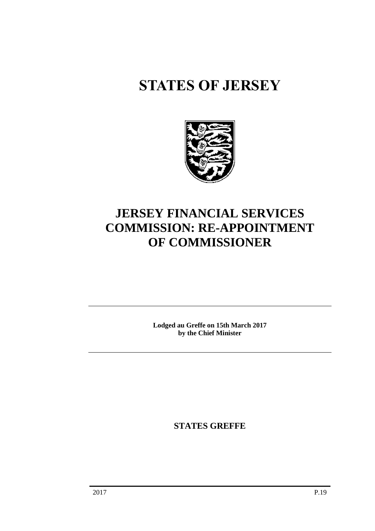# **STATES OF JERSEY**



## **JERSEY FINANCIAL SERVICES COMMISSION: RE-APPOINTMENT OF COMMISSIONER**

**Lodged au Greffe on 15th March 2017 by the Chief Minister**

**STATES GREFFE**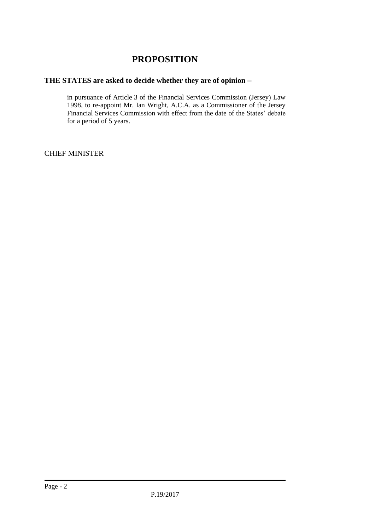## **PROPOSITION**

### **THE STATES are asked to decide whether they are of opinion**

in pursuance of Article 3 of the Financial Services Commission (Jersey) Law 1998, to re-appoint Mr. Ian Wright, A.C.A. as a Commissioner of the Jersey Financial Services Commission with effect from the date of the States' debate for a period of 5 years.

CHIEF MINISTER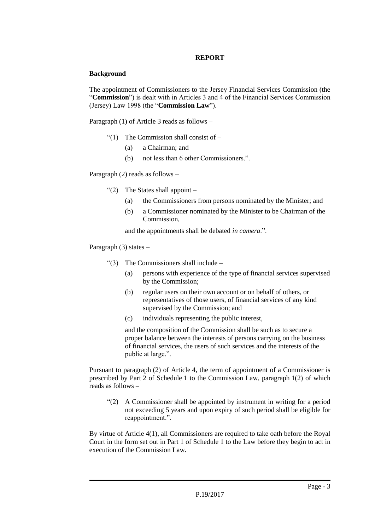#### **REPORT**

#### **Background**

The appointment of Commissioners to the Jersey Financial Services Commission (the "**Commission**") is dealt with in Articles 3 and 4 of the Financial Services Commission (Jersey) Law 1998 (the "**Commission Law**").

Paragraph (1) of Article 3 reads as follows –

- "(1) The Commission shall consist of  $-$ 
	- (a) a Chairman; and
	- (b) not less than 6 other Commissioners.".

Paragraph (2) reads as follows –

- "(2) The States shall appoint  $-$ 
	- (a) the Commissioners from persons nominated by the Minister; and
	- (b) a Commissioner nominated by the Minister to be Chairman of the Commission,

and the appointments shall be debated *in camera*.".

Paragraph (3) states –

- $\lq(3)$  The Commissioners shall include
	- (a) persons with experience of the type of financial services supervised by the Commission;
	- (b) regular users on their own account or on behalf of others, or representatives of those users, of financial services of any kind supervised by the Commission; and
	- (c) individuals representing the public interest,

and the composition of the Commission shall be such as to secure a proper balance between the interests of persons carrying on the business of financial services, the users of such services and the interests of the public at large.".

Pursuant to paragraph (2) of Article 4, the term of appointment of a Commissioner is prescribed by Part 2 of Schedule 1 to the Commission Law, paragraph 1(2) of which reads as follows –

"(2) A Commissioner shall be appointed by instrument in writing for a period not exceeding 5 years and upon expiry of such period shall be eligible for reappointment.".

By virtue of Article 4(1), all Commissioners are required to take oath before the Royal Court in the form set out in Part 1 of Schedule 1 to the Law before they begin to act in execution of the Commission Law.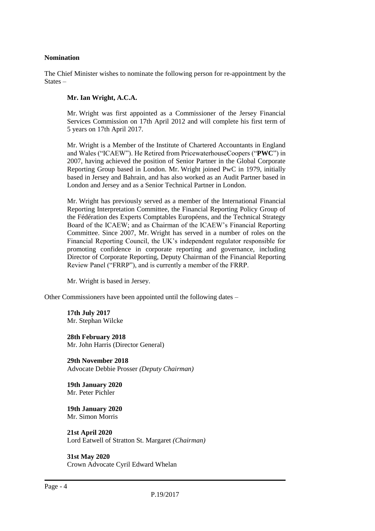#### **Nomination**

The Chief Minister wishes to nominate the following person for re-appointment by the States –

#### **Mr. Ian Wright, A.C.A.**

Mr. Wright was first appointed as a Commissioner of the Jersey Financial Services Commission on 17th April 2012 and will complete his first term of 5 years on 17th April 2017.

Mr. Wright is a Member of the Institute of Chartered Accountants in England and Wales ("ICAEW"). He Retired from PricewaterhouseCoopers ("**PWC**") in 2007, having achieved the position of Senior Partner in the Global Corporate Reporting Group based in London. Mr. Wright joined PwC in 1979, initially based in Jersey and Bahrain, and has also worked as an Audit Partner based in London and Jersey and as a Senior Technical Partner in London.

Mr. Wright has previously served as a member of the International Financial Reporting Interpretation Committee, the Financial Reporting Policy Group of the Fédération des Experts Comptables Européens, and the Technical Strategy Board of the ICAEW; and as Chairman of the ICAEW's Financial Reporting Committee. Since 2007, Mr. Wright has served in a number of roles on the Financial Reporting Council, the UK's independent regulator responsible for promoting confidence in corporate reporting and governance, including Director of Corporate Reporting, Deputy Chairman of the Financial Reporting Review Panel ("FRRP"), and is currently a member of the FRRP.

Mr. Wright is based in Jersey.

Other Commissioners have been appointed until the following dates –

**17th July 2017** Mr. Stephan Wilcke

**28th February 2018** Mr. John Harris (Director General)

**29th November 2018** Advocate Debbie Prosser *(Deputy Chairman)*

**19th January 2020** Mr. Peter Pichler

**19th January 2020** Mr. Simon Morris

**21st April 2020** Lord Eatwell of Stratton St. Margaret *(Chairman)*

**31st May 2020** Crown Advocate Cyril Edward Whelan